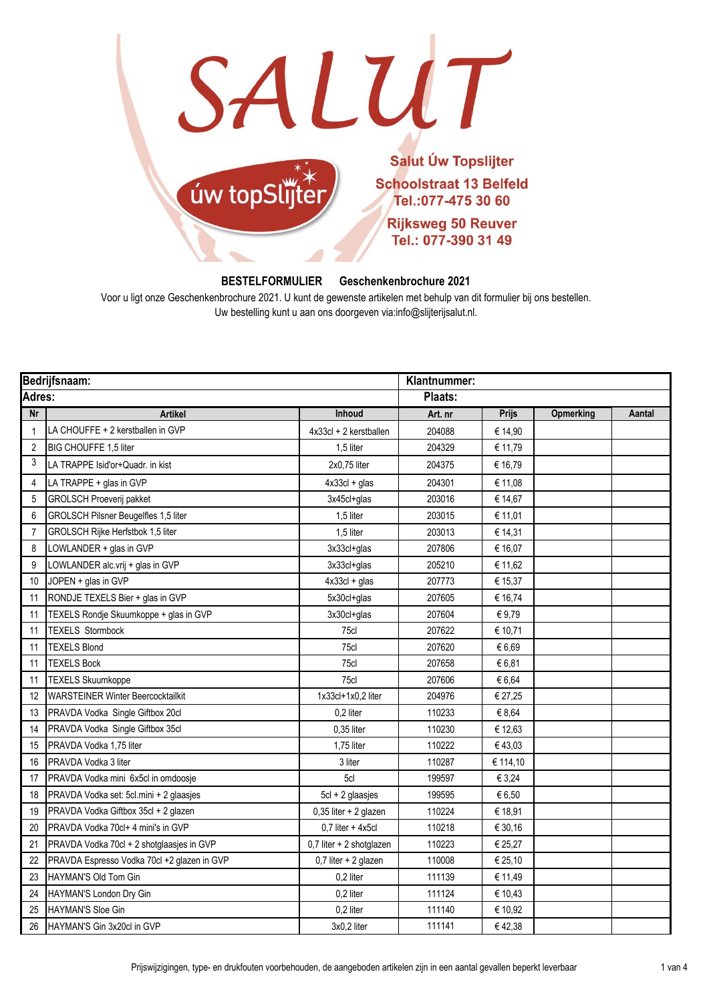SALUT



## **BESTELFORMULIER Geschenkenbrochure 2021**

Voor u ligt onze Geschenkenbrochure 2021. U kunt de gewenste artikelen met behulp van dit formulier bij ons bestellen. Uw bestelling kunt u aan ons doorgeven via:info@slijterijsalut.nl.

| Bedrijfsnaam: |                                             |                          | Klantnummer: |              |           |        |  |
|---------------|---------------------------------------------|--------------------------|--------------|--------------|-----------|--------|--|
| Adres:        |                                             |                          | Plaats:      |              |           |        |  |
| Nr            | <b>Artikel</b>                              | Inhoud                   | Art. nr      | <b>Prijs</b> | Opmerking | Aantal |  |
| $\mathbf{1}$  | LA CHOUFFE + 2 kerstballen in GVP           | 4x33cl + 2 kerstballen   | 204088       | € 14,90      |           |        |  |
| 2             | BIG CHOUFFE 1,5 liter                       | 1,5 liter                | 204329       | € 11,79      |           |        |  |
| 3             | LA TRAPPE Isid'or+Quadr. in kist            | 2x0,75 liter             | 204375       | € 16,79      |           |        |  |
| 4             | LA TRAPPE + glas in GVP                     | $4x33cI + glas$          | 204301       | € 11,08      |           |        |  |
| 5             | <b>GROLSCH Proeverij pakket</b>             | 3x45cl+glas              | 203016       | € 14,67      |           |        |  |
| 6             | GROLSCH Pilsner Beugelfles 1,5 liter        | 1,5 liter                | 203015       | € 11,01      |           |        |  |
| 7             | GROLSCH Rijke Herfstbok 1,5 liter           | 1,5 liter                | 203013       | € 14,31      |           |        |  |
| 8             | LOWLANDER + glas in GVP                     | $3x33cI+glas$            | 207806       | € 16,07      |           |        |  |
| 9             | LOWLANDER alc.vrij + glas in GVP            | 3x33cl+glas              | 205210       | € 11,62      |           |        |  |
| 10            | JOPEN + glas in GVP                         | $4x33cI + glas$          | 207773       | € 15,37      |           |        |  |
| 11            | RONDJE TEXELS Bier + glas in GVP            | 5x30cl+glas              | 207605       | € 16,74      |           |        |  |
| 11            | TEXELS Rondje Skuumkoppe + glas in GVP      | 3x30cl+glas              | 207604       | €9,79        |           |        |  |
| 11            | <b>TEXELS Stormbock</b>                     | 75cl                     | 207622       | € 10,71      |           |        |  |
| 11            | <b>TEXELS Blond</b>                         | 75cl                     | 207620       | €6,69        |           |        |  |
| 11            | <b>TEXELS Bock</b>                          | 75cl                     | 207658       | € 6.81       |           |        |  |
| 11            | <b>TEXELS Skuumkoppe</b>                    | 75cl                     | 207606       | € 6,64       |           |        |  |
| 12            | <b>WARSTEINER Winter Beercocktailkit</b>    | 1x33cl+1x0,2 liter       | 204976       | € 27,25      |           |        |  |
| 13            | PRAVDA Vodka Single Giftbox 20cl            | 0,2 liter                | 110233       | € 8,64       |           |        |  |
| 14            | PRAVDA Vodka Single Giftbox 35cl            | $0.35$ liter             | 110230       | € 12,63      |           |        |  |
| 15            | PRAVDA Vodka 1,75 liter                     | 1,75 liter               | 110222       | €43,03       |           |        |  |
| 16            | PRAVDA Vodka 3 liter                        | 3 liter                  | 110287       | € 114,10     |           |        |  |
| 17            | PRAVDA Vodka mini 6x5cl in omdoosje         | 5cl                      | 199597       | € 3,24       |           |        |  |
| 18            | PRAVDA Vodka set: 5cl.mini + 2 glaasjes     | $5cI + 2$ glaasjes       | 199595       | € 6,50       |           |        |  |
| 19            | PRAVDA Vodka Giftbox 35cl + 2 glazen        | 0,35 liter + 2 glazen    | 110224       | € 18,91      |           |        |  |
| 20            | PRAVDA Vodka 70cl+ 4 mini's in GVP          | $0.7$ liter + 4x5cl      | 110218       | € 30,16      |           |        |  |
| 21            | PRAVDA Vodka 70cl + 2 shotglaasjes in GVP   | 0,7 liter + 2 shotglazen | 110223       | € 25,27      |           |        |  |
| 22            | PRAVDA Espresso Vodka 70cl +2 glazen in GVP | 0,7 liter + 2 glazen     | 110008       | € 25,10      |           |        |  |
| 23            | HAYMAN'S Old Tom Gin                        | 0,2 liter                | 111139       | € 11,49      |           |        |  |
| 24            | HAYMAN'S London Dry Gin                     | 0,2 liter                | 111124       | € 10,43      |           |        |  |
| 25            | <b>HAYMAN'S Sloe Gin</b>                    | 0,2 liter                | 111140       | € 10,92      |           |        |  |
| 26            | HAYMAN'S Gin 3x20cl in GVP                  | 3x0,2 liter              | 111141       | €42,38       |           |        |  |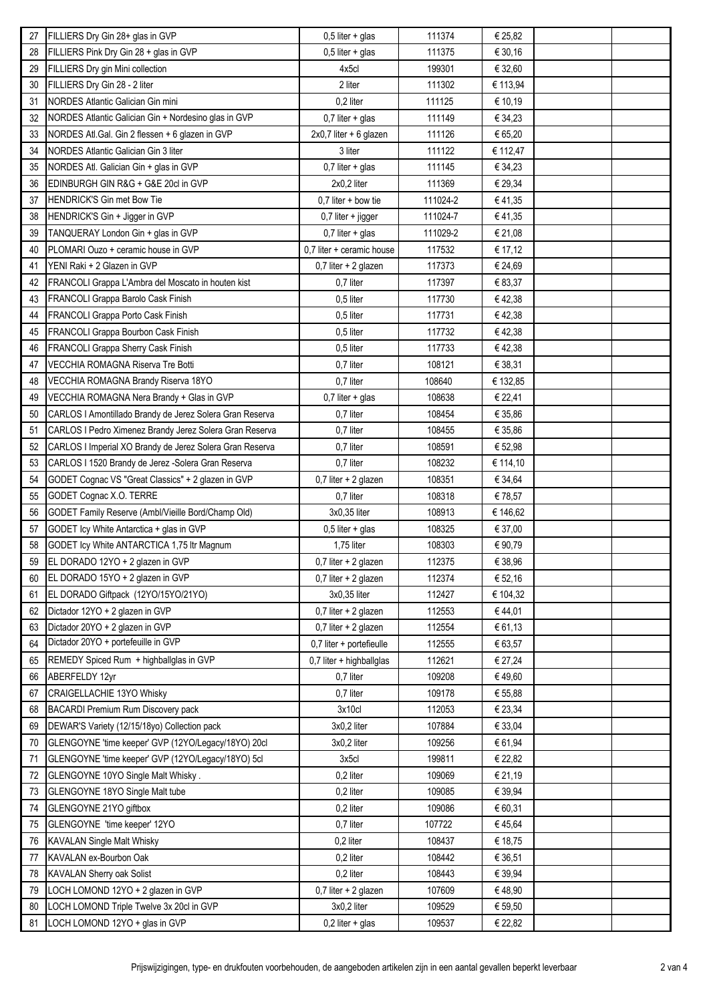| 27 | FILLIERS Dry Gin 28+ glas in GVP                         | $0,5$ liter + glas        | 111374   | € 25,82  |  |
|----|----------------------------------------------------------|---------------------------|----------|----------|--|
| 28 | FILLIERS Pink Dry Gin 28 + glas in GVP                   | $0,5$ liter + glas        | 111375   | € 30,16  |  |
| 29 | FILLIERS Dry gin Mini collection                         | 4x5cl                     | 199301   | € 32,60  |  |
| 30 | FILLIERS Dry Gin 28 - 2 liter                            | 2 liter                   | 111302   | € 113,94 |  |
| 31 | NORDES Atlantic Galician Gin mini                        | 0,2 liter                 | 111125   | € 10,19  |  |
| 32 | NORDES Atlantic Galician Gin + Nordesino glas in GVP     | $0,7$ liter + glas        | 111149   | € 34,23  |  |
| 33 | NORDES Atl.Gal. Gin 2 flessen + 6 glazen in GVP          | 2x0,7 liter + 6 glazen    | 111126   | € 65,20  |  |
| 34 | <b>NORDES Atlantic Galician Gin 3 liter</b>              | 3 liter                   | 111122   | € 112,47 |  |
| 35 | NORDES Atl. Galician Gin + glas in GVP                   | $0,7$ liter + glas        | 111145   | € 34,23  |  |
| 36 | EDINBURGH GIN R&G + G&E 20cl in GVP                      | 2x0,2 liter               | 111369   | € 29,34  |  |
| 37 | <b>HENDRICK'S Gin met Bow Tie</b>                        | $0,7$ liter + bow tie     | 111024-2 | €41,35   |  |
| 38 | HENDRICK'S Gin + Jigger in GVP                           | $0,7$ liter + jigger      | 111024-7 | €41,35   |  |
| 39 | TANQUERAY London Gin + glas in GVP                       | $0,7$ liter + glas        | 111029-2 | € 21,08  |  |
| 40 | PLOMARI Ouzo + ceramic house in GVP                      | 0.7 liter + ceramic house | 117532   | € 17,12  |  |
| 41 | YENI Raki + 2 Glazen in GVP                              | 0,7 liter + 2 glazen      | 117373   | € 24,69  |  |
| 42 | FRANCOLI Grappa L'Ambra del Moscato in houten kist       | 0,7 liter                 | 117397   | € 83,37  |  |
| 43 | FRANCOLI Grappa Barolo Cask Finish                       | 0,5 liter                 | 117730   | €42,38   |  |
| 44 | FRANCOLI Grappa Porto Cask Finish                        | 0,5 liter                 | 117731   | €42,38   |  |
| 45 | FRANCOLI Grappa Bourbon Cask Finish                      | 0,5 liter                 | 117732   | €42,38   |  |
| 46 | FRANCOLI Grappa Sherry Cask Finish                       | 0,5 liter                 | 117733   | €42,38   |  |
| 47 | VECCHIA ROMAGNA Riserva Tre Botti                        | 0,7 liter                 | 108121   | € 38,31  |  |
| 48 | VECCHIA ROMAGNA Brandy Riserva 18YO                      | 0,7 liter                 | 108640   | € 132,85 |  |
| 49 | VECCHIA ROMAGNA Nera Brandy + Glas in GVP                | $0,7$ liter + glas        | 108638   | € 22,41  |  |
| 50 | CARLOS I Amontillado Brandy de Jerez Solera Gran Reserva | 0,7 liter                 | 108454   | € 35,86  |  |
| 51 | CARLOS I Pedro Ximenez Brandy Jerez Solera Gran Reserva  | 0,7 liter                 | 108455   | € 35,86  |  |
| 52 | CARLOS I Imperial XO Brandy de Jerez Solera Gran Reserva | 0,7 liter                 | 108591   | € 52,98  |  |
| 53 | CARLOS I 1520 Brandy de Jerez - Solera Gran Reserva      | 0,7 liter                 | 108232   | € 114,10 |  |
| 54 | GODET Cognac VS "Great Classics" + 2 glazen in GVP       | 0,7 liter + 2 glazen      | 108351   | € 34,64  |  |
| 55 | GODET Cognac X.O. TERRE                                  | 0,7 liter                 | 108318   | €78,57   |  |
| 56 | GODET Family Reserve (Ambl/Vieille Bord/Champ Old)       | 3x0,35 liter              | 108913   | € 146,62 |  |
| 57 | GODET Icy White Antarctica + glas in GVP                 | $0,5$ liter + glas        | 108325   | € 37,00  |  |
| 58 | GODET Icy White ANTARCTICA 1,75 ltr Magnum               | 1,75 liter                | 108303   | € 90,79  |  |
| 59 | EL DORADO 12YO + 2 glazen in GVP                         | 0,7 liter + 2 glazen      | 112375   | € 38,96  |  |
| 60 | EL DORADO 15YO + 2 glazen in GVP                         | $0,7$ liter + 2 glazen    | 112374   | € 52,16  |  |
| 61 | EL DORADO Giftpack (12YO/15YO/21YO)                      | 3x0,35 liter              | 112427   | € 104,32 |  |
| 62 | Dictador 12YO + 2 glazen in GVP                          | 0,7 liter + 2 glazen      | 112553   | €44,01   |  |
| 63 | Dictador 20YO + 2 glazen in GVP                          | 0,7 liter + 2 glazen      | 112554   | € 61,13  |  |
| 64 | Dictador 20YO + portefeuille in GVP                      | 0,7 liter + portefieulle  | 112555   | € 63,57  |  |
| 65 | REMEDY Spiced Rum + highballglas in GVP                  | 0,7 liter + highballglas  | 112621   | € 27,24  |  |
| 66 | <b>ABERFELDY 12yr</b>                                    | 0,7 liter                 | 109208   | €49,60   |  |
| 67 | CRAIGELLACHIE 13YO Whisky                                | 0,7 liter                 | 109178   | € 55,88  |  |
| 68 | BACARDI Premium Rum Discovery pack                       | 3x10cl                    | 112053   | € 23,34  |  |
| 69 | DEWAR'S Variety (12/15/18yo) Collection pack             | 3x0,2 liter               | 107884   | € 33,04  |  |
| 70 | GLENGOYNE 'time keeper' GVP (12YO/Legacy/18YO) 20cl      | 3x0,2 liter               | 109256   | € 61,94  |  |
| 71 | GLENGOYNE 'time keeper' GVP (12YO/Legacy/18YO) 5cl       | 3x5c                      | 199811   | € 22,82  |  |
| 72 | GLENGOYNE 10YO Single Malt Whisky.                       | 0,2 liter                 | 109069   | € 21,19  |  |
| 73 | GLENGOYNE 18YO Single Malt tube                          | 0,2 liter                 | 109085   | € 39,94  |  |
| 74 | GLENGOYNE 21YO giftbox                                   | 0,2 liter                 | 109086   | € 60,31  |  |
| 75 | GLENGOYNE 'time keeper' 12YO                             | 0,7 liter                 | 107722   | € 45,64  |  |
| 76 | <b>KAVALAN Single Malt Whisky</b>                        | 0,2 liter                 | 108437   | € 18,75  |  |
| 77 | KAVALAN ex-Bourbon Oak                                   | 0,2 liter                 | 108442   | € 36,51  |  |
| 78 | KAVALAN Sherry oak Solist                                | 0,2 liter                 | 108443   | € 39,94  |  |
| 79 | LOCH LOMOND 12YO + 2 glazen in GVP                       | 0,7 liter + 2 glazen      | 107609   | €48,90   |  |
| 80 | LOCH LOMOND Triple Twelve 3x 20cl in GVP                 | 3x0,2 liter               | 109529   | € 59,50  |  |
| 81 | LOCH LOMOND 12YO + glas in GVP                           | $0,2$ liter + glas        | 109537   | € 22,82  |  |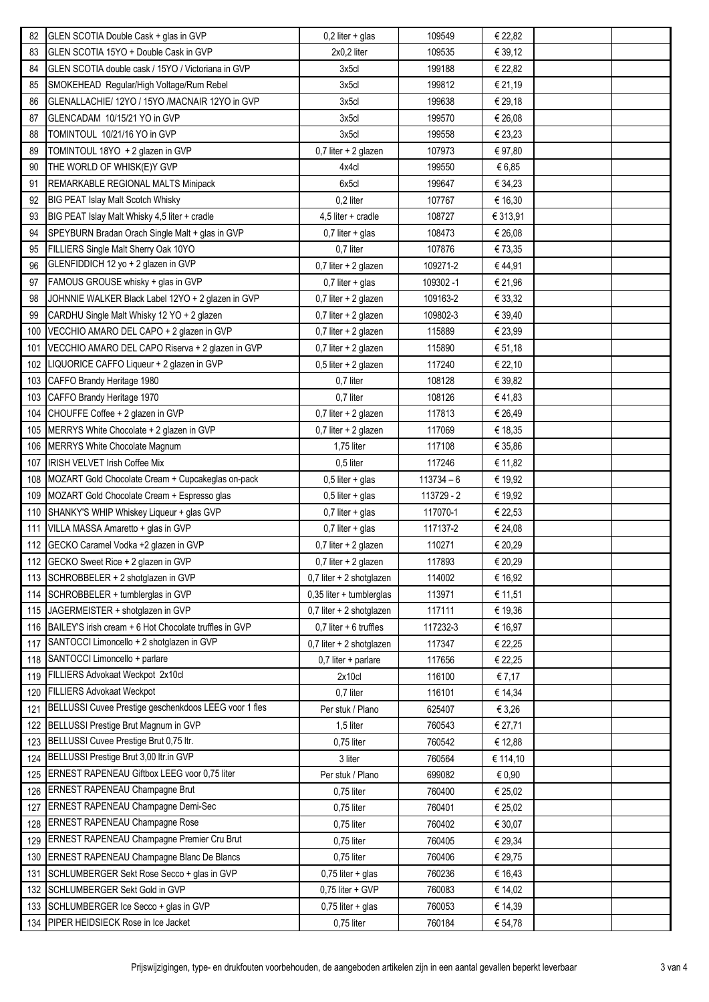| 82  | GLEN SCOTIA Double Cask + glas in GVP                  | $0,2$ liter + glas         | 109549       | € 22,82  |  |
|-----|--------------------------------------------------------|----------------------------|--------------|----------|--|
| 83  | GLEN SCOTIA 15YO + Double Cask in GVP                  | 2x0,2 liter                | 109535       | € 39,12  |  |
| 84  | GLEN SCOTIA double cask / 15YO / Victoriana in GVP     | 3x5cl                      | 199188       | € 22,82  |  |
| 85  | SMOKEHEAD Regular/High Voltage/Rum Rebel               | 3x5c                       | 199812       | € 21,19  |  |
| 86  | GLENALLACHIE/ 12YO / 15YO /MACNAIR 12YO in GVP         | 3x5cl                      | 199638       | € 29,18  |  |
| 87  | GLENCADAM 10/15/21 YO in GVP                           | 3x5cl                      | 199570       | € 26,08  |  |
| 88  | TOMINTOUL 10/21/16 YO in GVP                           | 3x5cl                      | 199558       | € 23,23  |  |
| 89  | TOMINTOUL 18YO + 2 glazen in GVP                       | 0,7 liter + 2 glazen       | 107973       | € 97,80  |  |
| 90  | THE WORLD OF WHISK(E)Y GVP                             | 4x4cl                      | 199550       | €6,85    |  |
| 91  | REMARKABLE REGIONAL MALTS Minipack                     | 6x5cl                      | 199647       | € 34,23  |  |
| 92  | <b>BIG PEAT Islay Malt Scotch Whisky</b>               | 0,2 liter                  | 107767       | € 16,30  |  |
| 93  | BIG PEAT Islay Malt Whisky 4,5 liter + cradle          | $4,5$ liter + cradle       | 108727       | € 313,91 |  |
| 94  | SPEYBURN Bradan Orach Single Malt + glas in GVP        | $0,7$ liter + glas         | 108473       | € 26,08  |  |
| 95  | FILLIERS Single Malt Sherry Oak 10YO                   | 0,7 liter                  | 107876       | € 73,35  |  |
| 96  | GLENFIDDICH 12 yo + 2 glazen in GVP                    | 0,7 liter + 2 glazen       | 109271-2     | €44,91   |  |
| 97  | FAMOUS GROUSE whisky + glas in GVP                     | $0,7$ liter + glas         | 109302-1     | € 21,96  |  |
| 98  | JOHNNIE WALKER Black Label 12YO + 2 glazen in GVP      | $0,7$ liter + 2 glazen     | 109163-2     | € 33,32  |  |
| 99  | CARDHU Single Malt Whisky 12 YO + 2 glazen             | 0,7 liter + 2 glazen       | 109802-3     | € 39,40  |  |
| 100 | VECCHIO AMARO DEL CAPO + 2 glazen in GVP               | 0,7 liter + 2 glazen       | 115889       | € 23,99  |  |
| 101 | VECCHIO AMARO DEL CAPO Riserva + 2 glazen in GVP       | $0,7$ liter + 2 glazen     | 115890       | € 51,18  |  |
| 102 | LIQUORICE CAFFO Liqueur + 2 glazen in GVP              | $0,5$ liter + 2 glazen     | 117240       | € 22,10  |  |
| 103 | CAFFO Brandy Heritage 1980                             | 0,7 liter                  | 108128       | € 39,82  |  |
| 103 | CAFFO Brandy Heritage 1970                             | 0,7 liter                  | 108126       | €41,83   |  |
| 104 | CHOUFFE Coffee + 2 glazen in GVP                       | 0,7 liter + 2 glazen       | 117813       | € 26,49  |  |
| 105 | MERRYS White Chocolate + 2 glazen in GVP               | 0,7 liter + 2 glazen       | 117069       | € 18,35  |  |
| 106 | MERRYS White Chocolate Magnum                          | 1,75 liter                 | 117108       | € 35,86  |  |
| 107 | <b>IRISH VELVET Irish Coffee Mix</b>                   | 0,5 liter                  | 117246       | € 11,82  |  |
| 108 | MOZART Gold Chocolate Cream + Cupcakeglas on-pack      | $0,5$ liter + glas         | $113734 - 6$ | € 19,92  |  |
| 109 | MOZART Gold Chocolate Cream + Espresso glas            | $0,5$ liter + glas         | 113729 - 2   | € 19,92  |  |
| 110 | SHANKY'S WHIP Whiskey Liqueur + glas GVP               | $0,7$ liter + glas         | 117070-1     | € 22,53  |  |
| 111 | VILLA MASSA Amaretto + glas in GVP                     | $0,7$ liter + glas         | 117137-2     | € 24,08  |  |
|     | 112 GECKO Caramel Vodka +2 glazen in GVP               | $0,7$ liter + 2 glazen     | 110271       | € 20,29  |  |
|     | 112 GECKO Sweet Rice + 2 glazen in GVP                 | 0,7 liter + 2 glazen       | 117893       | € 20,29  |  |
|     | 113 SCHROBBELER + 2 shotglazen in GVP                  | $0,7$ liter + 2 shotglazen | 114002       | € 16,92  |  |
| 114 | SCHROBBELER + tumblerglas in GVP                       | $0,35$ liter + tumblerglas | 113971       | € 11,51  |  |
|     | 115 JAGERMEISTER + shotglazen in GVP                   | $0,7$ liter + 2 shotglazen | 117111       | € 19,36  |  |
| 116 | BAILEY'S irish cream + 6 Hot Chocolate truffles in GVP | $0,7$ liter + 6 truffles   | 117232-3     | € 16,97  |  |
| 117 | SANTOCCI Limoncello + 2 shotglazen in GVP              | 0,7 liter + 2 shotglazen   | 117347       | € 22,25  |  |
| 118 | SANTOCCI Limoncello + parlare                          | $0,7$ liter + parlare      | 117656       | € 22,25  |  |
| 119 | FILLIERS Advokaat Weckpot 2x10cl                       | 2x10c                      | 116100       | € 7,17   |  |
| 120 | <b>FILLIERS Advokaat Weckpot</b>                       | 0,7 liter                  | 116101       | € 14,34  |  |
| 121 | BELLUSSI Cuvee Prestige geschenkdoos LEEG voor 1 fles  | Per stuk / Plano           | 625407       | € 3,26   |  |
| 122 | BELLUSSI Prestige Brut Magnum in GVP                   | 1,5 liter                  | 760543       | € 27,71  |  |
| 123 | BELLUSSI Cuvee Prestige Brut 0,75 ltr.                 | 0,75 liter                 | 760542       | € 12,88  |  |
| 124 | BELLUSSI Prestige Brut 3,00 Itr.in GVP                 | 3 liter                    | 760564       | € 114,10 |  |
| 125 | ERNEST RAPENEAU Giftbox LEEG voor 0,75 liter           | Per stuk / Plano           | 699082       | € 0,90   |  |
| 126 | ERNEST RAPENEAU Champagne Brut                         | 0,75 liter                 | 760400       | € 25,02  |  |
| 127 | ERNEST RAPENEAU Champagne Demi-Sec                     | 0,75 liter                 | 760401       | € 25,02  |  |
| 128 | <b>ERNEST RAPENEAU Champagne Rose</b>                  | 0,75 liter                 | 760402       | € 30,07  |  |
| 129 | ERNEST RAPENEAU Champagne Premier Cru Brut             | $0.75$ liter               | 760405       | € 29,34  |  |
| 130 | ERNEST RAPENEAU Champagne Blanc De Blancs              | 0,75 liter                 | 760406       | € 29,75  |  |
| 131 | SCHLUMBERGER Sekt Rose Secco + glas in GVP             | $0,75$ liter + glas        | 760236       | € 16,43  |  |
| 132 | SCHLUMBERGER Sekt Gold in GVP                          | 0,75 liter + GVP           | 760083       | € 14,02  |  |
| 133 | SCHLUMBERGER Ice Secco + glas in GVP                   | $0,75$ liter + glas        | 760053       | € 14,39  |  |
| 134 | PIPER HEIDSIECK Rose in Ice Jacket                     | 0,75 liter                 | 760184       | € 54,78  |  |